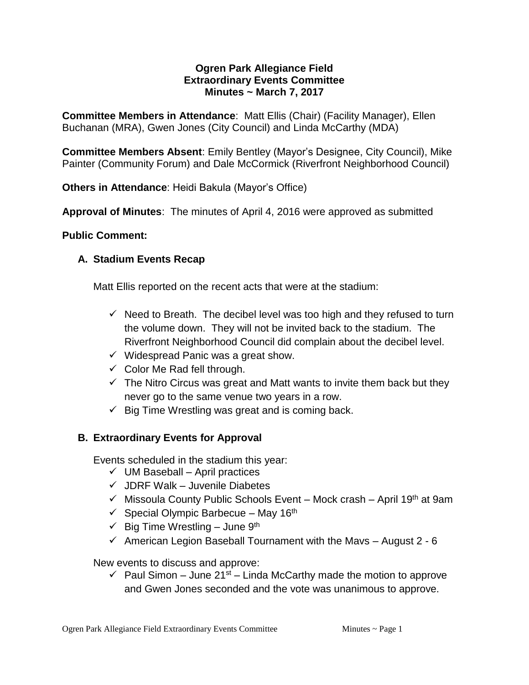#### **Ogren Park Allegiance Field Extraordinary Events Committee Minutes ~ March 7, 2017**

**Committee Members in Attendance**: Matt Ellis (Chair) (Facility Manager), Ellen Buchanan (MRA), Gwen Jones (City Council) and Linda McCarthy (MDA)

**Committee Members Absent**: Emily Bentley (Mayor's Designee, City Council), Mike Painter (Community Forum) and Dale McCormick (Riverfront Neighborhood Council)

**Others in Attendance**: Heidi Bakula (Mayor's Office)

**Approval of Minutes**: The minutes of April 4, 2016 were approved as submitted

### **Public Comment:**

# **A. Stadium Events Recap**

Matt Ellis reported on the recent acts that were at the stadium:

- $\checkmark$  Need to Breath. The decibel level was too high and they refused to turn the volume down. They will not be invited back to the stadium. The Riverfront Neighborhood Council did complain about the decibel level.
- $\checkmark$  Widespread Panic was a great show.
- $\checkmark$  Color Me Rad fell through.
- $\checkmark$  The Nitro Circus was great and Matt wants to invite them back but they never go to the same venue two years in a row.
- $\checkmark$  Big Time Wrestling was great and is coming back.

# **B. Extraordinary Events for Approval**

Events scheduled in the stadium this year:

- $\checkmark$  UM Baseball April practices
- $\checkmark$  JDRF Walk Juvenile Diabetes
- $\checkmark$  Missoula County Public Schools Event Mock crash April 19<sup>th</sup> at 9am
- $\checkmark$  Special Olympic Barbecue May 16<sup>th</sup>
- $\checkmark$  Big Time Wrestling June 9<sup>th</sup>
- $\checkmark$  American Legion Baseball Tournament with the Mavs August 2 6

New events to discuss and approve:

 $\checkmark$  Paul Simon – June 21<sup>st</sup> – Linda McCarthy made the motion to approve and Gwen Jones seconded and the vote was unanimous to approve.